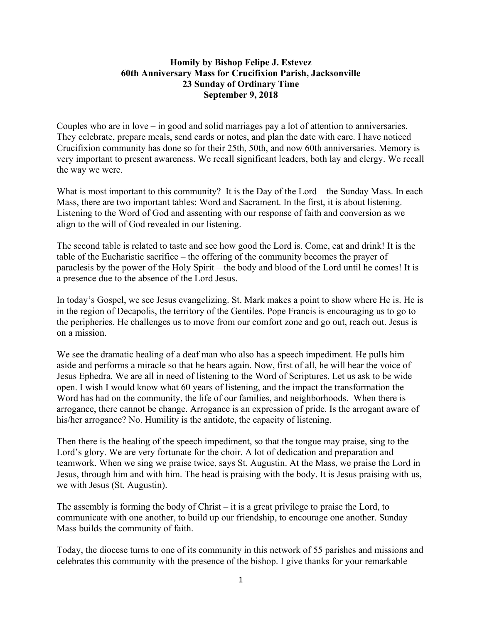## **Homily by Bishop Felipe J. Estevez 60th Anniversary Mass for Crucifixion Parish, Jacksonville 23 Sunday of Ordinary Time September 9, 2018**

Couples who are in love – in good and solid marriages pay a lot of attention to anniversaries. They celebrate, prepare meals, send cards or notes, and plan the date with care. I have noticed Crucifixion community has done so for their 25th, 50th, and now 60th anniversaries. Memory is very important to present awareness. We recall significant leaders, both lay and clergy. We recall the way we were.

What is most important to this community? It is the Day of the Lord – the Sunday Mass. In each Mass, there are two important tables: Word and Sacrament. In the first, it is about listening. Listening to the Word of God and assenting with our response of faith and conversion as we align to the will of God revealed in our listening.

The second table is related to taste and see how good the Lord is. Come, eat and drink! It is the table of the Eucharistic sacrifice – the offering of the community becomes the prayer of paraclesis by the power of the Holy Spirit – the body and blood of the Lord until he comes! It is a presence due to the absence of the Lord Jesus.

In today's Gospel, we see Jesus evangelizing. St. Mark makes a point to show where He is. He is in the region of Decapolis, the territory of the Gentiles. Pope Francis is encouraging us to go to the peripheries. He challenges us to move from our comfort zone and go out, reach out. Jesus is on a mission.

We see the dramatic healing of a deaf man who also has a speech impediment. He pulls him aside and performs a miracle so that he hears again. Now, first of all, he will hear the voice of Jesus Ephedra. We are all in need of listening to the Word of Scriptures. Let us ask to be wide open. I wish I would know what 60 years of listening, and the impact the transformation the Word has had on the community, the life of our families, and neighborhoods. When there is arrogance, there cannot be change. Arrogance is an expression of pride. Is the arrogant aware of his/her arrogance? No. Humility is the antidote, the capacity of listening.

Then there is the healing of the speech impediment, so that the tongue may praise, sing to the Lord's glory. We are very fortunate for the choir. A lot of dedication and preparation and teamwork. When we sing we praise twice, says St. Augustin. At the Mass, we praise the Lord in Jesus, through him and with him. The head is praising with the body. It is Jesus praising with us, we with Jesus (St. Augustin).

The assembly is forming the body of Christ – it is a great privilege to praise the Lord, to communicate with one another, to build up our friendship, to encourage one another. Sunday Mass builds the community of faith.

Today, the diocese turns to one of its community in this network of 55 parishes and missions and celebrates this community with the presence of the bishop. I give thanks for your remarkable